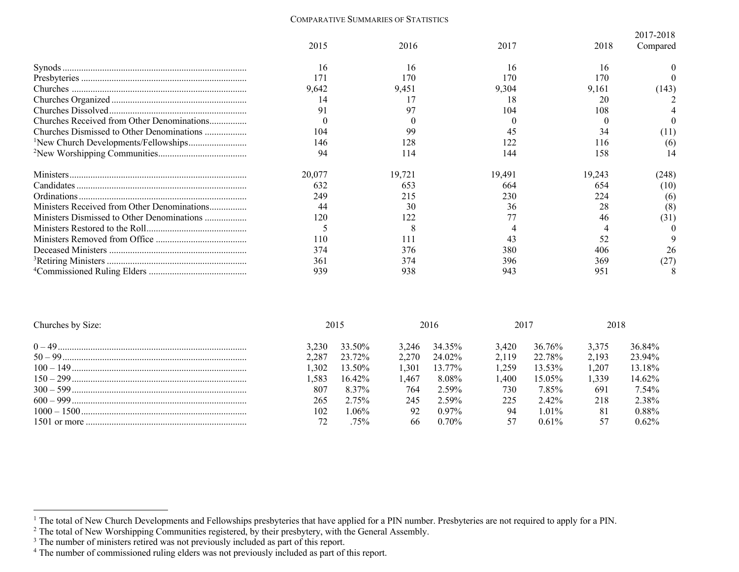## COMPARATIVE SUMMARIES OF STATISTICS

|                                                  |        |        |        |        | 2017-2018 |
|--------------------------------------------------|--------|--------|--------|--------|-----------|
|                                                  | 2015   | 2016   | 2017   | 2018   | Compared  |
|                                                  | 16     | 16     | 16     | 16     |           |
|                                                  |        | 170    | 170    | 170    |           |
|                                                  | 9,642  | 9,451  | 9,304  | 9,161  | (143)     |
|                                                  | 14     |        | 18     | 20     |           |
|                                                  | 91     |        | 104    | 108    |           |
|                                                  |        |        |        |        |           |
| Churches Dismissed to Other Denominations        | 104    | 99     |        | 34     | (11)      |
| <sup>1</sup> New Church Developments/Fellowships | 146    |        |        | 116    | (6)       |
|                                                  | 94     | 114    | 144    | 158    |           |
|                                                  | 20,077 | 19,721 | 19,491 | 19,243 | (248)     |
|                                                  | 632    | 653    | 664    | 654    | (10)      |
|                                                  | 249    | 215    | 230    | 224    | (6)       |
| Ministers Received from Other Denominations      | 44     | 30     | 36     | 28     | (8)       |
| Ministers Dismissed to Other Denominations       | 120    | 122    |        | 46     | (31)      |
|                                                  |        |        |        |        |           |
|                                                  | 110    |        |        | 52     |           |
|                                                  | 374    | 376    | 380    | 406    | 26        |
|                                                  | 361    | 374    | 396    | 369    | (27       |
|                                                  | 939    | 938    | 943    | 951    |           |

| Churches by Size: |       | 2015      |       | 2016     | 2017  |           | 2018  |          |
|-------------------|-------|-----------|-------|----------|-------|-----------|-------|----------|
|                   | 3.230 | 33.50%    | 3.246 | 34.35%   | 3.420 | 36.76%    | 3.375 | 36.84%   |
|                   | 2.287 | 23.72%    | 2.270 | 24.02%   | 2.119 | 22.78%    | 2.193 | 23.94%   |
|                   | 1.302 | 13.50%    | 1.301 | 13.77%   | 1259  | 13.53%    | 1.207 | 13.18%   |
|                   | .583  | $16.42\%$ | .467  | 8.08%    | .400  | $15.05\%$ | 1.339 | 14.62%   |
|                   | 807   | 8.37%     | 764   | $2.59\%$ | 730   | 7.85%     | 691   | 7.54%    |
|                   | 265   | 2.75%     | 245   | 2.59%    | 225   | $2.42\%$  | 218   | 2.38%    |
|                   | 102   | $.06\%$   | 92    | $0.97\%$ | 94    | $1.01\%$  | 81    | $0.88\%$ |
|                   |       | 75%       | 66    | $0.70\%$ |       | $0.61\%$  |       | $0.62\%$ |

<sup>&</sup>lt;sup>1</sup> The total of New Church Developments and Fellowships presbyteries that have applied for a PIN number. Presbyteries are not required to apply for a PIN.

 $2$  The total of New Worshipping Communities registered, by their presbytery, with the General Assembly.

<sup>&</sup>lt;sup>3</sup> The number of ministers retired was not previously included as part of this report.

<sup>&</sup>lt;sup>4</sup> The number of commissioned ruling elders was not previously included as part of this report.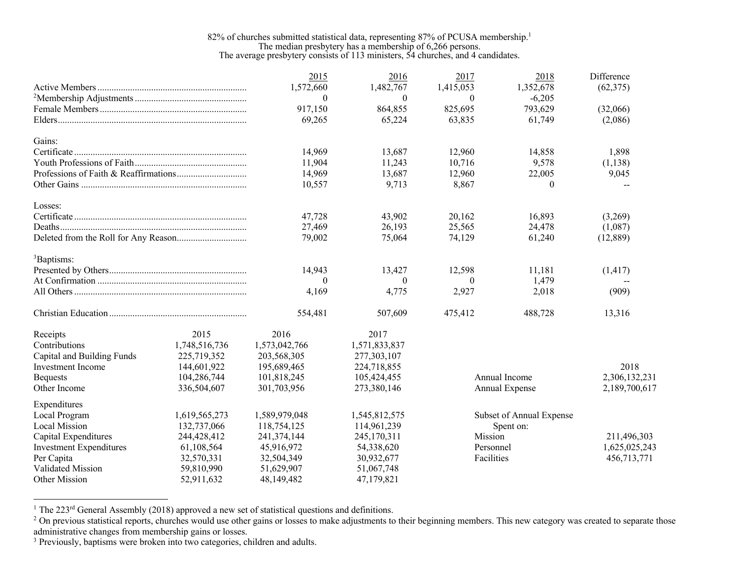## 82% of churches submitted statistical data, representing 87% of PCUSA membership.<sup>1</sup> The median presbytery has a membership of 6,266 persons. The average presbytery consists of 113 ministers, 54 churches, and 4 candidates.

|                                |               | 2015           | 2016          | 2017       | 2018                     | Difference    |
|--------------------------------|---------------|----------------|---------------|------------|--------------------------|---------------|
|                                |               | 1,572,660      | 1,482,767     | 1,415,053  | 1,352,678                | (62, 375)     |
|                                |               | $\theta$       | $\theta$      | $\theta$   | $-6,205$                 |               |
|                                |               | 917,150        | 864,855       | 825,695    | 793,629                  | (32,066)      |
|                                |               | 69,265         | 65,224        | 63,835     | 61,749                   | (2,086)       |
| Gains:                         |               |                |               |            |                          |               |
|                                |               | 14,969         | 13,687        | 12,960     | 14,858                   | 1,898         |
|                                |               | 11,904         | 11,243        | 10,716     | 9,578                    | (1,138)       |
|                                |               | 14,969         | 13,687        | 12,960     | 22,005                   | 9,045         |
|                                |               | 10,557         | 9,713         | 8,867      | $\theta$                 | $-$           |
| Losses:                        |               |                |               |            |                          |               |
|                                |               | 47,728         | 43,902        | 20,162     | 16,893                   | (3,269)       |
|                                |               | 27,469         | 26,193        | 25,565     | 24,478                   | (1,087)       |
|                                |               | 79,002         | 75,064        | 74,129     | 61,240                   | (12, 889)     |
| <sup>3</sup> Baptisms:         |               |                |               |            |                          |               |
|                                |               | 14,943         | 13,427        | 12,598     | 11,181                   | (1, 417)      |
|                                |               | $\overline{0}$ | $\theta$      | $\theta$   | 1,479                    |               |
|                                |               | 4,169          | 4,775         | 2,927      | 2,018                    | (909)         |
|                                |               | 554,481        | 507,609       | 475,412    | 488,728                  | 13,316        |
| Receipts                       | 2015          | 2016           | 2017          |            |                          |               |
| Contributions                  | 1,748,516,736 | 1,573,042,766  | 1,571,833,837 |            |                          |               |
| Capital and Building Funds     | 225,719,352   | 203,568,305    | 277,303,107   |            |                          |               |
| <b>Investment Income</b>       | 144,601,922   | 195,689,465    | 224,718,855   |            |                          | 2018          |
| <b>Bequests</b>                | 104,286,744   | 101,818,245    | 105,424,455   |            | Annual Income            | 2,306,132,231 |
| Other Income                   | 336,504,607   | 301,703,956    | 273,380,146   |            | Annual Expense           | 2,189,700,617 |
| Expenditures                   |               |                |               |            |                          |               |
| Local Program                  | 1,619,565,273 | 1,589,979,048  | 1,545,812,575 |            | Subset of Annual Expense |               |
| Local Mission                  | 132,737,066   | 118,754,125    | 114,961,239   |            | Spent on:                |               |
| Capital Expenditures           | 244,428,412   | 241,374,144    | 245,170,311   | Mission    |                          | 211,496,303   |
| <b>Investment Expenditures</b> | 61,108,564    | 45,916,972     | 54,338,620    | Personnel  |                          | 1,625,025,243 |
| Per Capita                     | 32,570,331    | 32,504,349     | 30,932,677    | Facilities |                          | 456,713,771   |
| Validated Mission              | 59,810,990    | 51,629,907     | 51,067,748    |            |                          |               |
| <b>Other Mission</b>           | 52,911,632    | 48,149,482     | 47,179,821    |            |                          |               |

<sup>1</sup> The 223<sup>rd</sup> General Assembly (2018) approved a new set of statistical questions and definitions.

<sup>&</sup>lt;sup>2</sup> On previous statistical reports, churches would use other gains or losses to make adjustments to their beginning members. This new category was created to separate those administrative changes from membership gains or losses.

<sup>&</sup>lt;sup>3</sup> Previously, baptisms were broken into two categories, children and adults.